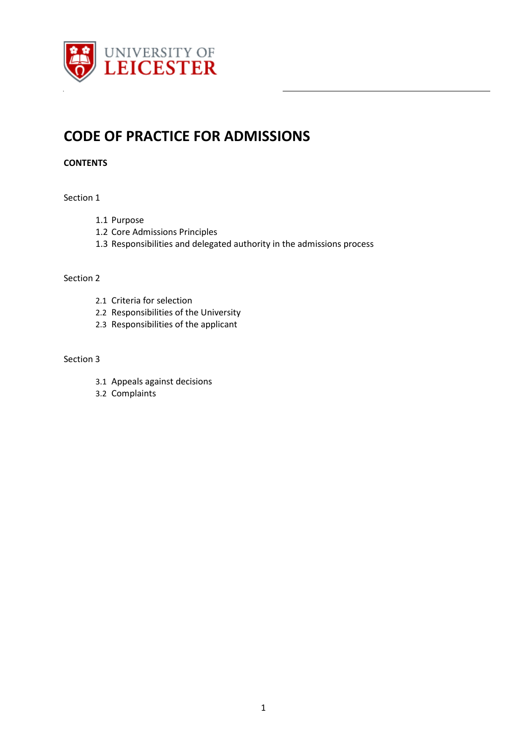

# **CODE OF PRACTICE FOR ADMISSIONS**

# **CONTENTS**

#### Section 1

- 1.1 Purpose
- 1.2 Core Admissions Principles
- 1.3 Responsibilities and delegated authority in the admissions process

#### Section 2

- 2.1 Criteria for selection
- 2.2 Responsibilities of the University
- 2.3 Responsibilities of the applicant

#### Section 3

- 3.1 Appeals against decisions
- 3.2 Complaints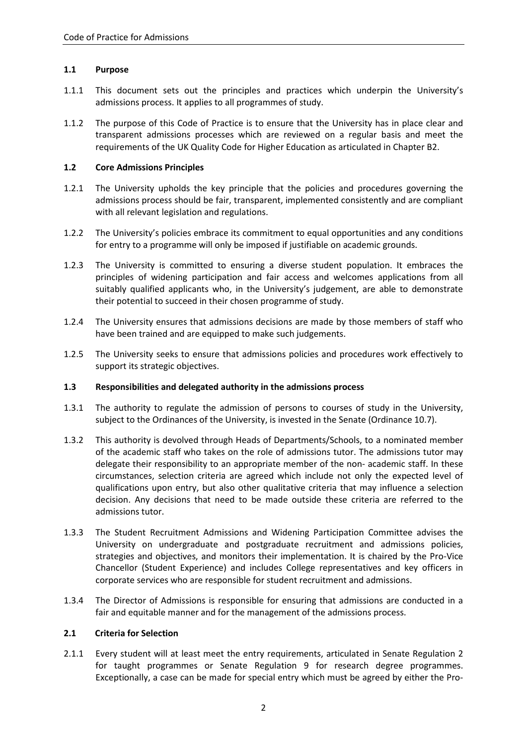## **1.1 Purpose**

- 1.1.1 This document sets out the principles and practices which underpin the University's admissions process. It applies to all programmes of study.
- 1.1.2 The purpose of this Code of Practice is to ensure that the University has in place clear and transparent admissions processes which are reviewed on a regular basis and meet the requirements of the UK Quality Code for Higher Education as articulated in Chapter B2.

## **1.2 Core Admissions Principles**

- 1.2.1 The University upholds the key principle that the policies and procedures governing the admissions process should be fair, transparent, implemented consistently and are compliant with all relevant legislation and regulations.
- 1.2.2 The University's policies embrace its commitment to equal opportunities and any conditions for entry to a programme will only be imposed if justifiable on academic grounds.
- 1.2.3 The University is committed to ensuring a diverse student population. It embraces the principles of widening participation and fair access and welcomes applications from all suitably qualified applicants who, in the University's judgement, are able to demonstrate their potential to succeed in their chosen programme of study.
- 1.2.4 The University ensures that admissions decisions are made by those members of staff who have been trained and are equipped to make such judgements.
- 1.2.5 The University seeks to ensure that admissions policies and procedures work effectively to support its strategic objectives.

#### **1.3 Responsibilities and delegated authority in the admissions process**

- 1.3.1 The authority to regulate the admission of persons to courses of study in the University, subject to the Ordinances of the University, is invested in the Senate (Ordinance 10.7).
- 1.3.2 This authority is devolved through Heads of Departments/Schools, to a nominated member of the academic staff who takes on the role of admissions tutor. The admissions tutor may delegate their responsibility to an appropriate member of the non- academic staff. In these circumstances, selection criteria are agreed which include not only the expected level of qualifications upon entry, but also other qualitative criteria that may influence a selection decision. Any decisions that need to be made outside these criteria are referred to the admissions tutor.
- 1.3.3 The Student Recruitment Admissions and Widening Participation Committee advises the University on undergraduate and postgraduate recruitment and admissions policies, strategies and objectives, and monitors their implementation. It is chaired by the Pro-Vice Chancellor (Student Experience) and includes College representatives and key officers in corporate services who are responsible for student recruitment and admissions.
- 1.3.4 The Director of Admissions is responsible for ensuring that admissions are conducted in a fair and equitable manner and for the management of the admissions process.

#### **2.1 Criteria for Selection**

2.1.1 Every student will at least meet the entry requirements, articulated in Senate Regulation 2 for taught programmes or Senate Regulation 9 for research degree programmes. Exceptionally, a case can be made for special entry which must be agreed by either the Pro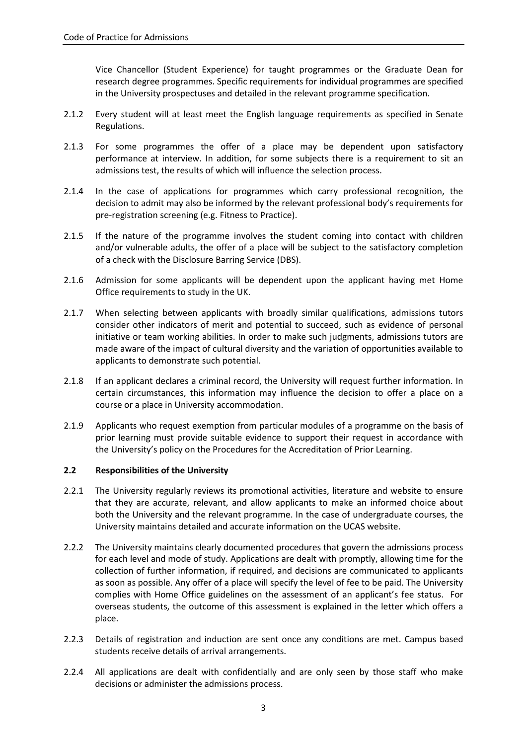Vice Chancellor (Student Experience) for taught programmes or the Graduate Dean for research degree programmes. Specific requirements for individual programmes are specified in the University prospectuses and detailed in the relevant programme specification.

- 2.1.2 Every student will at least meet the English language requirements as specified in Senate Regulations.
- 2.1.3 For some programmes the offer of a place may be dependent upon satisfactory performance at interview. In addition, for some subjects there is a requirement to sit an admissions test, the results of which will influence the selection process.
- 2.1.4 In the case of applications for programmes which carry professional recognition, the decision to admit may also be informed by the relevant professional body's requirements for pre-registration screening (e.g. Fitness to Practice).
- 2.1.5 If the nature of the programme involves the student coming into contact with children and/or vulnerable adults, the offer of a place will be subject to the satisfactory completion of a check with the Disclosure Barring Service (DBS).
- 2.1.6 Admission for some applicants will be dependent upon the applicant having met Home Office requirements to study in the UK.
- 2.1.7 When selecting between applicants with broadly similar qualifications, admissions tutors consider other indicators of merit and potential to succeed, such as evidence of personal initiative or team working abilities. In order to make such judgments, admissions tutors are made aware of the impact of cultural diversity and the variation of opportunities available to applicants to demonstrate such potential.
- 2.1.8 If an applicant declares a criminal record, the University will request further information. In certain circumstances, this information may influence the decision to offer a place on a course or a place in University accommodation.
- 2.1.9 Applicants who request exemption from particular modules of a programme on the basis of prior learning must provide suitable evidence to support their request in accordance with the University's policy on the Procedures for the Accreditation of Prior Learning.

### **2.2 Responsibilities of the University**

- 2.2.1 The University regularly reviews its promotional activities, literature and website to ensure that they are accurate, relevant, and allow applicants to make an informed choice about both the University and the relevant programme. In the case of undergraduate courses, the University maintains detailed and accurate information on the UCAS website.
- 2.2.2 The University maintains clearly documented procedures that govern the admissions process for each level and mode of study. Applications are dealt with promptly, allowing time for the collection of further information, if required, and decisions are communicated to applicants as soon as possible. Any offer of a place will specify the level of fee to be paid. The University complies with Home Office guidelines on the assessment of an applicant's fee status. For overseas students, the outcome of this assessment is explained in the letter which offers a place.
- 2.2.3 Details of registration and induction are sent once any conditions are met. Campus based students receive details of arrival arrangements.
- 2.2.4 All applications are dealt with confidentially and are only seen by those staff who make decisions or administer the admissions process.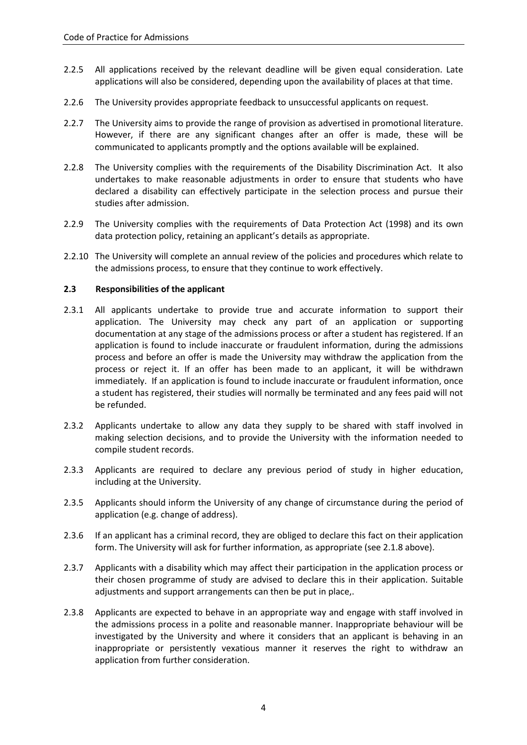- 2.2.5 All applications received by the relevant deadline will be given equal consideration. Late applications will also be considered, depending upon the availability of places at that time.
- 2.2.6 The University provides appropriate feedback to unsuccessful applicants on request.
- 2.2.7 The University aims to provide the range of provision as advertised in promotional literature. However, if there are any significant changes after an offer is made, these will be communicated to applicants promptly and the options available will be explained.
- 2.2.8 The University complies with the requirements of the Disability Discrimination Act. It also undertakes to make reasonable adjustments in order to ensure that students who have declared a disability can effectively participate in the selection process and pursue their studies after admission.
- 2.2.9 The University complies with the requirements of Data Protection Act (1998) and its own data protection policy, retaining an applicant's details as appropriate.
- 2.2.10 The University will complete an annual review of the policies and procedures which relate to the admissions process, to ensure that they continue to work effectively.

## **2.3 Responsibilities of the applicant**

- 2.3.1 All applicants undertake to provide true and accurate information to support their application. The University may check any part of an application or supporting documentation at any stage of the admissions process or after a student has registered. If an application is found to include inaccurate or fraudulent information, during the admissions process and before an offer is made the University may withdraw the application from the process or reject it. If an offer has been made to an applicant, it will be withdrawn immediately. If an application is found to include inaccurate or fraudulent information, once a student has registered, their studies will normally be terminated and any fees paid will not be refunded.
- 2.3.2 Applicants undertake to allow any data they supply to be shared with staff involved in making selection decisions, and to provide the University with the information needed to compile student records.
- 2.3.3 Applicants are required to declare any previous period of study in higher education, including at the University.
- 2.3.5 Applicants should inform the University of any change of circumstance during the period of application (e.g. change of address).
- 2.3.6 If an applicant has a criminal record, they are obliged to declare this fact on their application form. The University will ask for further information, as appropriate (see 2.1.8 above).
- 2.3.7 Applicants with a disability which may affect their participation in the application process or their chosen programme of study are advised to declare this in their application. Suitable adjustments and support arrangements can then be put in place,.
- 2.3.8 Applicants are expected to behave in an appropriate way and engage with staff involved in the admissions process in a polite and reasonable manner. Inappropriate behaviour will be investigated by the University and where it considers that an applicant is behaving in an inappropriate or persistently vexatious manner it reserves the right to withdraw an application from further consideration.